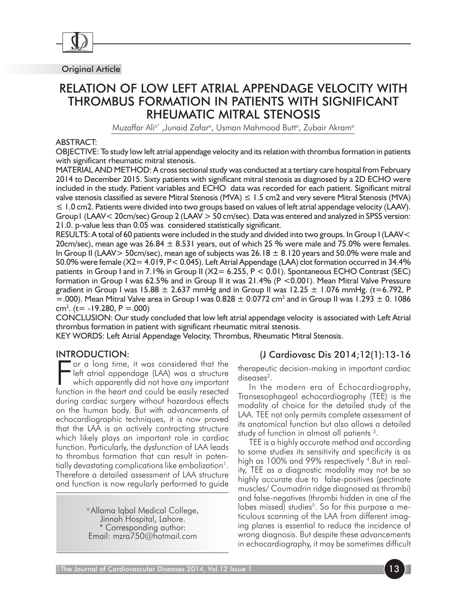

Original Article

# RELATION OF LOW LEFT ATRIAL APPENDAGE VELOCITY WITH THROMBUS FORMATION IN PATIENTS WITH SIGNIFICANT RHEUMATIC MITRAL STENOSIS

Muzaffar Ali<sup>a</sup>\* ,Junaid Zafarª, Usman Mahmood Buttª, Zubair Akramª

#### ABSTRACT:

OBJECTIVE: To study low left atrial appendage velocity and its relation with thrombus formation in patients with significant rheumatic mitral stenosis.

MATERIAL AND METHOD: A cross sectional study was conducted at a tertiary care hospital from February 2014 to December 2015. Sixty patients with significant mitral stenosis as diagnosed by a 2D ECHO were included in the study. Patient variables and ECHO data was recorded for each patient. Significant mitral valve stenosis classified as severe Mitral Stenosis (MVA)  $\leq 1.5$  cm2 and very severe Mitral Stenosis (MVA) ≤ 1.0 cm2. Patients were divided into two groups based on values of left atrial appendage velocity (LAAV). Group1 (LAAV< 20cm/sec) Group 2 (LAAV > 50 cm/sec). Data was entered and analyzed in SPSS version: 21.0. p-value less than 0.05 was considered statistically significant.

RESULTS: A total of 60 patients were included in the study and divided into two groups. In Group I (LAAV< 20cm/sec), mean age was  $26.84 \pm 8.531$  years, out of which 25 % were male and 75.0% were females. In Group II (LAAV > 50cm/sec), mean age of subjects was  $26.18 \pm 8.120$  years and 50.0% were male and 50.0% were female (X2= 4.019, P< 0.045). Left Atrial Appendage (LAA) clot formation occurred in 34.4% patients in Group I and in 7.1% in Group II ( $X2 = 6.255$ ,  $P < 0.01$ ). Spontaneous ECHO Contrast (SEC) formation in Group I was 62.5% and in Group II it was 21.4% (P <0.001). Mean Mitral Valve Pressure gradient in Group I was 15.88  $\pm$  2.637 mmHg and in Group II was 12.25  $\pm$  1.076 mmHg. (t=6.792, P  $=$  000). Mean Mitral Valve area in Group I was 0.828  $\pm$  0.0772 cm<sup>2</sup> and in Group II was 1.293  $\pm$  0. 1086 cm<sup>2</sup>. (t= -19.280, P = .000)

CONCLUSION: Our study concluded that low left atrial appendage velocity is associated with Left Atrial thrombus formation in patient with significant rheumatic mitral stenosis.

KEY WORDS: Left Atrial Appendage Velocity, Thrombus, Rheumatic Mitral Stenosis.

### INTRODUCTION:

For a long time, it was considered that the left atrial appendage (LAA) was a structure which apparently did not have any important function in the heart and could be easily resected or a long time, it was considered that the left atrial appendage (LAA) was a structure which apparently did not have any important during cardiac surgery without hazardous effects on the human body. But with advancements of echocardiographic techniques, it is now proved that the LAA is an actively contracting structure which likely plays an important role in cardiac function. Particularly, the dysfunction of LAA leads to thrombus formation that can result in potentially devastating complications like embolization<sup>1</sup>. Therefore a detailed assessment of LAA structure and function is now regularly performed to guide

> a Allama Iqbal Medical College, Jinnah Hospital, Lahore. \* Corresponding author: Email: mzra750@hotmail.com

# (J Cardiovasc Dis 2014;12(1):13-16

therapeutic decision-making in important cardiac diseases<sup>2</sup>.

In the modern era of Echocardiography, Transesophageal echocardiography (TEE) is the modality of choice for the detailed study of the LAA. TEE not only permits complete assessment of its anatomical function but also allows a detailed study of function in almost all patients<sup>3</sup>.

TEE is a highly accurate method and according to some studies its sensitivity and specificity is as high as 100% and 99% respectively 4. But in reality, TEE as a diagnostic modality may not be so highly accurate due to false-positives (pectinate muscles/ Coumadrin ridge diagnosed as thrombi) and false-negatives (thrombi hidden in one of the lobes missed) studies<sup>5</sup>. So for this purpose a meticulous scanning of the LAA from different imaging planes is essential to reduce the incidence of wrong diagnosis. But despite these advancements in echocardiography, it may be sometimes difficult

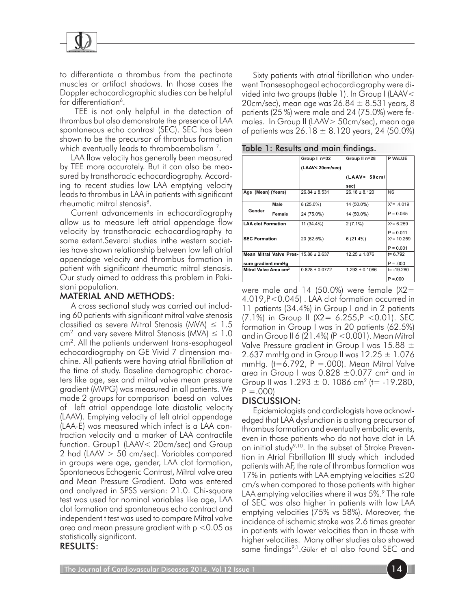

to differentiate a thrombus from the pectinate muscles or artifact shadows. In those cases the Doppler echocardiographic studies can be helpful for differentiation<sup>6</sup>.

 TEE is not only helpful in the detection of thrombus but also demonstrate the presence of LAA spontaneous echo contrast (SEC). SEC has been shown to be the precursor of thrombus formation which eventually leads to thromboembolism 7.

LAA flow velocity has generally been measured by TEE more accurately. But it can also be measured by transthoracic echocardiography. According to recent studies low LAA emptying velocity leads to thrombus in LAA in patients with significant rheumatic mitral stenosis<sup>8</sup>.

Current advancements in echocardiography allow us to measure left atrial appendage flow velocity by transthoracic echocardiography to some extent.Several studies inthe western societies have shown relationship between low left atrial appendage velocity and thrombus formation in patient with significant rheumatic mitral stenosis. Our study aimed to address this problem in Pakistani population.

## MATERIAL AND METHODS:

A cross sectional study was carried out including 60 patients with significant mitral valve stenosis classified as severe Mitral Stenosis (MVA)  $\leq$  1.5  $cm<sup>2</sup>$  and very severe Mitral Stenosis (MVA)  $\leq 1.0$ cm2. All the patients underwent trans-esophageal echocardiography on GE Vivid 7 dimension machine. All patients were having atrial fibrillation at the time of study. Baseline demographic characters like age, sex and mitral valve mean pressure gradient (MVPG) was measured in all patients. We made 2 groups for comparison baesd on values of left atrial appendage late diastolic velocity (LAAV). Emptying velocity of left atrial appendage (LAA-E) was measured which infect is a LAA contraction velocity and a marker of LAA contractile function. Group1 (LAAV< 20cm/sec) and Group 2 had (LAAV > 50 cm/sec). Variables compared in groups were age, gender, LAA clot formation, Spontaneous Echogenic Contrast, Mitral valve area and Mean Pressure Gradient. Data was entered and analyzed in SPSS version: 21.0. Chi-square test was used for nominal variables like age, LAA clot formation and spontaneous echo contract and independent t test was used to compare Mitral valve area and mean pressure gradient with  $p < 0.05$  as statistically significant.

#### RESULTS:

Sixty patients with atrial fibrillation who underwent Transesophageal echocardiography were divided into two groups (table 1). In Group I (LAAV< 20cm/sec), mean age was 26.84  $\pm$  8.531 years, 8 patients (25 %) were male and 24 (75.0%) were females. In Group II (LAAV> 50cm/sec), mean age of patients was  $26.18 \pm 8.120$  years, 24 (50.0%)

|                                            |        | Group I n=32       | Group II n=28         | <b>P VALUE</b> |
|--------------------------------------------|--------|--------------------|-----------------------|----------------|
|                                            |        | (LAAV< 20cm/sec)   |                       |                |
|                                            |        |                    | (LAAV > 50cm/<br>sec) |                |
|                                            |        |                    |                       |                |
| Age (Mean) (Years)                         |        | $26.84 \pm 8.531$  | $26.18 \pm 8.120$     | <b>NS</b>      |
| Gender                                     | Male   | 8 (25.0%)          | 14 (50.0%)            | $X^2 = .4.019$ |
|                                            | Female | 24 (75.0%)         | 14 (50.0%)            | $P = 0.045$    |
| <b>LAA clot Formation</b>                  |        | 11 (34.4%)         | $2(7.1\%)$            | $X^2 = 6.259$  |
|                                            |        |                    |                       | $P = 0.011$    |
| <b>SEC Formation</b>                       |        | 20 (62.5%)         | 6(21.4%)              | $X^2$ = 10.259 |
|                                            |        |                    |                       | $P = 0.001$    |
| Mean Mitral Valve Pres- $115.88 \pm 2.637$ |        |                    | $12.25 \pm 1.076$     | $t = 6.792$    |
| sure gradient mmHg                         |        |                    |                       | $P = 000$      |
| Mitral Valve Area cm <sup>2</sup>          |        | $0.828 \pm 0.0772$ | $1.293 \pm 0.1086$    | $t = -19.280$  |
|                                            |        |                    |                       | $P = 000$      |

Table 1: Results and main findings.

were male and 14 (50.0%) were female  $(X2=$ 4.019,P<0.045) . LAA clot formation occurred in 11 patients (34.4%) in Group I and in 2 patients (7.1%) in Group II ( $X2 = 6.255$ ,  $P < 0.01$ ). SEC formation in Group I was in 20 patients (62.5%) and in Group II 6 (21.4%) (P <0.001). Mean Mitral Valve Pressure gradient in Group I was 15.88  $\pm$ 2.637 mmHg and in Group II was 12.25  $\pm$  1.076 mmHg. (t=6.792,  $P = 000$ ). Mean Mitral Valve area in Group I was  $0.828 \pm 0.077$  cm<sup>2</sup> and in Group II was  $1.293 \pm 0.1086$  cm<sup>2</sup> (t= -19.280,  $P = 0.000$ 

# DISCUSSION:

Epidemiologists and cardiologists have acknowledged that LAA dysfunction is a strong precursor of thrombus formation and eventually embolic events, even in those patients who do not have clot in LA on initial study<sup>9,10</sup>. In the subset of Stroke Prevention in Atrial Fibrillation III study which included patients with AF, the rate of thrombus formation was 17% in patients with LAA emptying velocities ≤20 cm/s when compared to those patients with higher LAA emptying velocities where it was 5%.<sup>9</sup> The rate of SEC was also higher in patients with low LAA emptying velocities (75% vs 58%). Moreover, the incidence of ischemic stroke was 2.6 times greater in patients with lower velocities than in those with higher velocities. Many other studies also showed same findings<sup>9,1</sup>.Güler et al also found SEC and

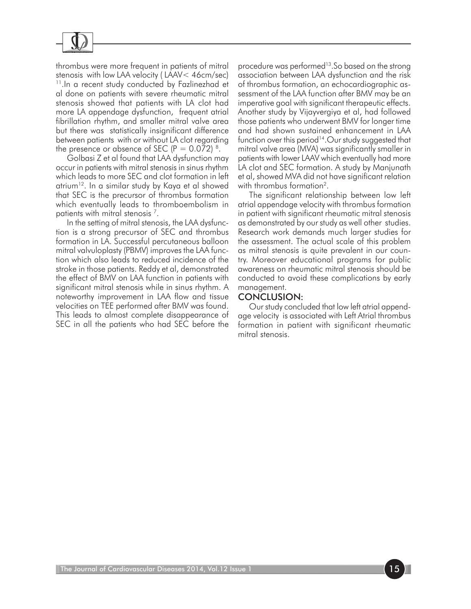

thrombus were more frequent in patients of mitral stenosis with low LAA velocity ( LAAV< 46cm/sec) <sup>11</sup>. In a recent study conducted by Fazlinezhad et al done on patients with severe rheumatic mitral stenosis showed that patients with LA clot had more LA appendage dysfunction, frequent atrial fibrillation rhythm, and smaller mitral valve area but there was statistically insignificant difference between patients with or without LA clot regarding the presence or absence of SEC  $(P = 0.072)^8$ .

Golbasi Z et al found that LAA dysfunction may occur in patients with mitral stenosis in sinus rhythm which leads to more SEC and clot formation in left atrium12. In a similar study by Kaya et al showed that SEC is the precursor of thrombus formation which eventually leads to thromboembolism in patients with mitral stenosis 7.

In the setting of mitral stenosis, the LAA dysfunction is a strong precursor of SEC and thrombus formation in LA. Successful percutaneous balloon mitral valvuloplasty (PBMV) improves the LAA function which also leads to reduced incidence of the stroke in those patients. Reddy et al, demonstrated the effect of BMV on LAA function in patients with significant mitral stenosis while in sinus rhythm. A noteworthy improvement in LAA flow and tissue velocities on TEE performed after BMV was found. This leads to almost complete disappearance of SEC in all the patients who had SEC before the

procedure was performed<sup>13</sup>.So based on the strong association between LAA dysfunction and the risk of thrombus formation, an echocardiographic assessment of the LAA function after BMV may be an imperative goal with significant therapeutic effects. Another study by Vijayvergiya et al, had followed those patients who underwent BMV for longer time and had shown sustained enhancement in LAA function over this period<sup>14</sup>. Our study suggested that mitral valve area (MVA) was significantly smaller in patients with lower LAAV which eventually had more LA clot and SEC formation. A study by Manjunath et al, showed MVA did not have significant relation with thrombus formation<sup>2</sup>.

The significant relationship between low left atrial appendage velocity with thrombus formation in patient with significant rheumatic mitral stenosis as demonstrated by our study as well other studies. Research work demands much larger studies for the assessment. The actual scale of this problem as mitral stenosis is quite prevalent in our country. Moreover educational programs for public awareness on rheumatic mitral stenosis should be conducted to avoid these complications by early management.

#### CONCLUSION:

Our study concluded that low left atrial appendage velocity is associated with Left Atrial thrombus formation in patient with significant rheumatic mitral stenosis.